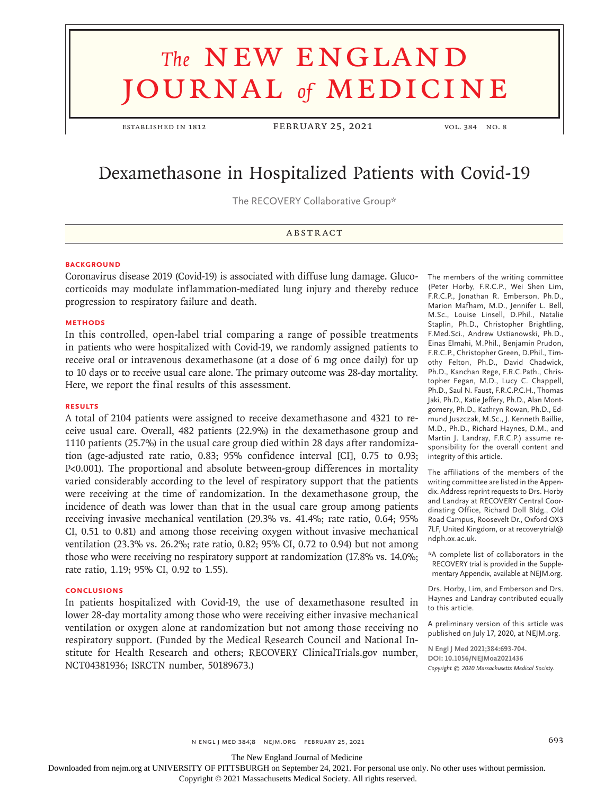# **The NEW ENGLAND** journal *of* medicine

ESTABLISHED IN 1812 FEBRUARY 25, 2021 VOL. 384 NO. 8

# Dexamethasone in Hospitalized Patients with Covid-19

The RECOVERY Collaborative Group\*

# **ABSTRACT**

#### **BACKGROUND**

Coronavirus disease 2019 (Covid-19) is associated with diffuse lung damage. Glucocorticoids may modulate inflammation-mediated lung injury and thereby reduce progression to respiratory failure and death.

# **METHODS**

In this controlled, open-label trial comparing a range of possible treatments in patients who were hospitalized with Covid-19, we randomly assigned patients to receive oral or intravenous dexamethasone (at a dose of 6 mg once daily) for up to 10 days or to receive usual care alone. The primary outcome was 28-day mortality. Here, we report the final results of this assessment.

# **RESULTS**

A total of 2104 patients were assigned to receive dexamethasone and 4321 to receive usual care. Overall, 482 patients (22.9%) in the dexamethasone group and 1110 patients (25.7%) in the usual care group died within 28 days after randomization (age-adjusted rate ratio, 0.83; 95% confidence interval [CI], 0.75 to 0.93; P<0.001). The proportional and absolute between-group differences in mortality varied considerably according to the level of respiratory support that the patients were receiving at the time of randomization. In the dexamethasone group, the incidence of death was lower than that in the usual care group among patients receiving invasive mechanical ventilation (29.3% vs. 41.4%; rate ratio, 0.64; 95% CI, 0.51 to 0.81) and among those receiving oxygen without invasive mechanical ventilation (23.3% vs. 26.2%; rate ratio, 0.82; 95% CI, 0.72 to 0.94) but not among those who were receiving no respiratory support at randomization (17.8% vs. 14.0%; rate ratio, 1.19; 95% CI, 0.92 to 1.55).

#### **CONCLUSIONS**

In patients hospitalized with Covid-19, the use of dexamethasone resulted in lower 28-day mortality among those who were receiving either invasive mechanical ventilation or oxygen alone at randomization but not among those receiving no respiratory support. (Funded by the Medical Research Council and National Institute for Health Research and others; RECOVERY ClinicalTrials.gov number, NCT04381936; ISRCTN number, 50189673.)

The members of the writing committee (Peter Horby, F.R.C.P., Wei Shen Lim, F.R.C.P., Jonathan R. Emberson, Ph.D., Marion Mafham, M.D., Jennifer L. Bell, M.Sc., Louise Linsell, D.Phil., Natalie Staplin, Ph.D., Christopher Brightling, F.Med.Sci., Andrew Ustianowski, Ph.D., Einas Elmahi, M.Phil., Benjamin Prudon, F.R.C.P., Christopher Green, D.Phil., Timothy Felton, Ph.D., David Chadwick, Ph.D., Kanchan Rege, F.R.C.Path., Christopher Fegan, M.D., Lucy C. Chappell, Ph.D., Saul N. Faust, F.R.C.P.C.H., Thomas Jaki, Ph.D., Katie Jeffery, Ph.D., Alan Montgomery, Ph.D., Kathryn Rowan, Ph.D., Edmund Juszczak, M.Sc., J. Kenneth Baillie, M.D., Ph.D., Richard Haynes, D.M., and Martin J. Landray, F.R.C.P.) assume responsibility for the overall content and integrity of this article.

The affiliations of the members of the writing committee are listed in the Appendix. Address reprint requests to Drs. Horby and Landray at RECOVERY Central Coordinating Office, Richard Doll Bldg., Old Road Campus, Roosevelt Dr., Oxford OX3 7LF, United Kingdom, or at recoverytrial@ ndph.ox.ac.uk.

\*A complete list of collaborators in the RECOVERY trial is provided in the Supplementary Appendix, available at NEJM.org.

Drs. Horby, Lim, and Emberson and Drs. Haynes and Landray contributed equally to this article.

A preliminary version of this article was published on July 17, 2020, at NEJM.org.

**N Engl J Med 2021;384:693-704. DOI: 10.1056/NEJMoa2021436** *Copyright © 2020 Massachusetts Medical Society.*

The New England Journal of Medicine

Downloaded from nejm.org at UNIVERSITY OF PITTSBURGH on September 24, 2021. For personal use only. No other uses without permission.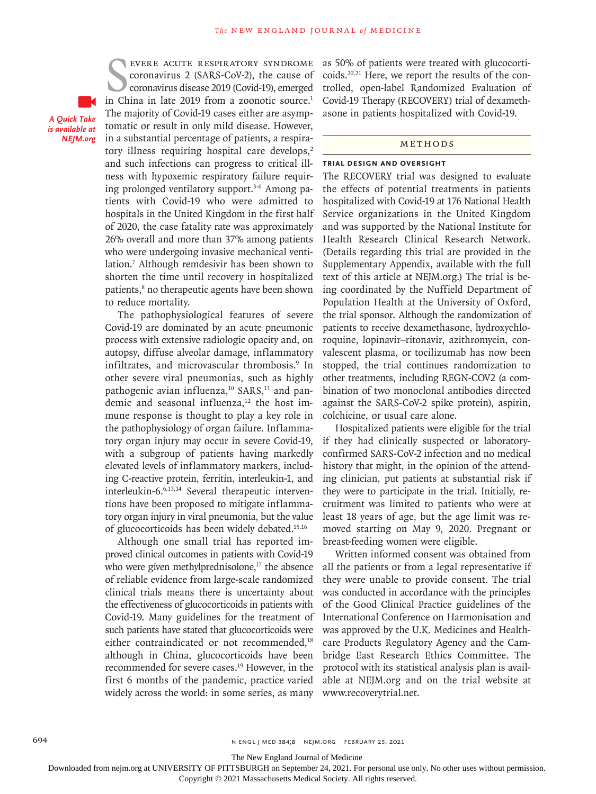*A Quick Take is available at NEJM.org*

EVERE ACUTE RESPIRATORY SYNDROME<br>
coronavirus 2 (SARS-CoV-2), the cause of<br>
coronavirus disease 2019 (Covid-19), emerged<br>
in China in late 2019 from a zoonotic source.<sup>1</sup> evere acute respiratory syndrome coronavirus 2 (SARS-CoV-2), the cause of coronavirus disease 2019 (Covid-19), emerged The majority of Covid-19 cases either are asymptomatic or result in only mild disease. However, in a substantial percentage of patients, a respiratory illness requiring hospital care develops, $2$ and such infections can progress to critical illness with hypoxemic respiratory failure requiring prolonged ventilatory support.<sup>3-6</sup> Among patients with Covid-19 who were admitted to hospitals in the United Kingdom in the first half of 2020, the case fatality rate was approximately 26% overall and more than 37% among patients who were undergoing invasive mechanical ventilation.7 Although remdesivir has been shown to shorten the time until recovery in hospitalized patients,<sup>8</sup> no therapeutic agents have been shown to reduce mortality.

The pathophysiological features of severe Covid-19 are dominated by an acute pneumonic process with extensive radiologic opacity and, on autopsy, diffuse alveolar damage, inflammatory infiltrates, and microvascular thrombosis.9 In other severe viral pneumonias, such as highly pathogenic avian influenza, $10$  SARS, $11$  and pandemic and seasonal influenza,<sup>12</sup> the host immune response is thought to play a key role in the pathophysiology of organ failure. Inflammatory organ injury may occur in severe Covid-19, with a subgroup of patients having markedly elevated levels of inflammatory markers, including C-reactive protein, ferritin, interleukin-1, and interleukin-6.6,13,14 Several therapeutic interventions have been proposed to mitigate inflammatory organ injury in viral pneumonia, but the value of glucocorticoids has been widely debated.<sup>15,16</sup>

Although one small trial has reported improved clinical outcomes in patients with Covid-19 who were given methylprednisolone, $17$  the absence of reliable evidence from large-scale randomized clinical trials means there is uncertainty about the effectiveness of glucocorticoids in patients with Covid-19. Many guidelines for the treatment of such patients have stated that glucocorticoids were either contraindicated or not recommended,<sup>18</sup> although in China, glucocorticoids have been recommended for severe cases.<sup>19</sup> However, in the first 6 months of the pandemic, practice varied widely across the world: in some series, as many as 50% of patients were treated with glucocorticoids.20,21 Here, we report the results of the controlled, open-label Randomized Evaluation of Covid-19 Therapy (RECOVERY) trial of dexamethasone in patients hospitalized with Covid-19.

#### Methods

#### **Trial Design and Oversight**

The RECOVERY trial was designed to evaluate the effects of potential treatments in patients hospitalized with Covid-19 at 176 National Health Service organizations in the United Kingdom and was supported by the National Institute for Health Research Clinical Research Network. (Details regarding this trial are provided in the Supplementary Appendix, available with the full text of this article at NEJM.org.) The trial is being coordinated by the Nuffield Department of Population Health at the University of Oxford, the trial sponsor. Although the randomization of patients to receive dexamethasone, hydroxychloroquine, lopinavir–ritonavir, azithromycin, convalescent plasma, or tocilizumab has now been stopped, the trial continues randomization to other treatments, including REGN-COV2 (a combination of two monoclonal antibodies directed against the SARS-CoV-2 spike protein), aspirin, colchicine, or usual care alone.

Hospitalized patients were eligible for the trial if they had clinically suspected or laboratoryconfirmed SARS-CoV-2 infection and no medical history that might, in the opinion of the attending clinician, put patients at substantial risk if they were to participate in the trial. Initially, recruitment was limited to patients who were at least 18 years of age, but the age limit was removed starting on May 9, 2020. Pregnant or breast-feeding women were eligible.

Written informed consent was obtained from all the patients or from a legal representative if they were unable to provide consent. The trial was conducted in accordance with the principles of the Good Clinical Practice guidelines of the International Conference on Harmonisation and was approved by the U.K. Medicines and Healthcare Products Regulatory Agency and the Cambridge East Research Ethics Committee. The protocol with its statistical analysis plan is available at NEJM.org and on the trial website at www.recoverytrial.net.

The New England Journal of Medicine

Downloaded from nejm.org at UNIVERSITY OF PITTSBURGH on September 24, 2021. For personal use only. No other uses without permission.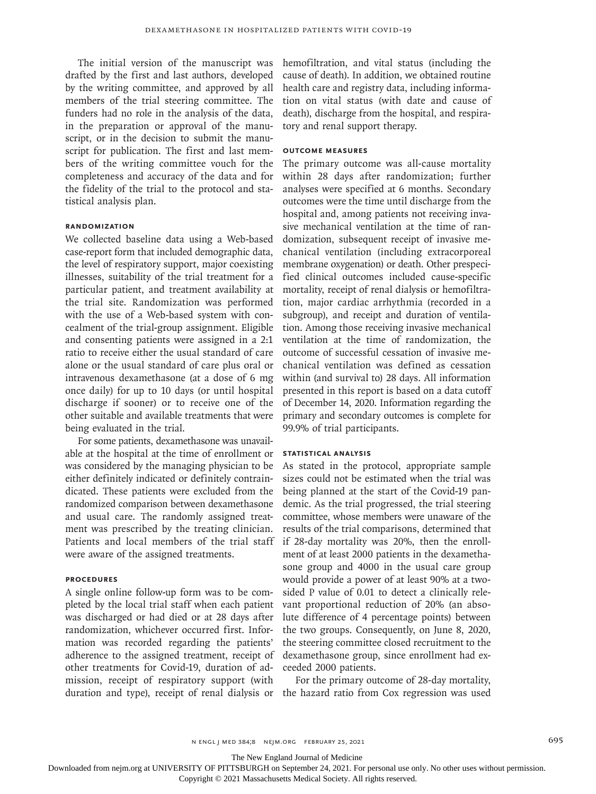The initial version of the manuscript was drafted by the first and last authors, developed by the writing committee, and approved by all members of the trial steering committee. The funders had no role in the analysis of the data, in the preparation or approval of the manuscript, or in the decision to submit the manuscript for publication. The first and last members of the writing committee vouch for the completeness and accuracy of the data and for the fidelity of the trial to the protocol and statistical analysis plan.

# **Randomization**

We collected baseline data using a Web-based case-report form that included demographic data, the level of respiratory support, major coexisting illnesses, suitability of the trial treatment for a particular patient, and treatment availability at the trial site. Randomization was performed with the use of a Web-based system with concealment of the trial-group assignment. Eligible and consenting patients were assigned in a 2:1 ratio to receive either the usual standard of care alone or the usual standard of care plus oral or intravenous dexamethasone (at a dose of 6 mg once daily) for up to 10 days (or until hospital discharge if sooner) or to receive one of the other suitable and available treatments that were being evaluated in the trial.

For some patients, dexamethasone was unavailable at the hospital at the time of enrollment or was considered by the managing physician to be either definitely indicated or definitely contraindicated. These patients were excluded from the randomized comparison between dexamethasone and usual care. The randomly assigned treatment was prescribed by the treating clinician. Patients and local members of the trial staff were aware of the assigned treatments.

# **Procedures**

A single online follow-up form was to be completed by the local trial staff when each patient was discharged or had died or at 28 days after randomization, whichever occurred first. Information was recorded regarding the patients' adherence to the assigned treatment, receipt of other treatments for Covid-19, duration of admission, receipt of respiratory support (with duration and type), receipt of renal dialysis or hemofiltration, and vital status (including the cause of death). In addition, we obtained routine health care and registry data, including information on vital status (with date and cause of death), discharge from the hospital, and respiratory and renal support therapy.

# **Outcome Measures**

The primary outcome was all-cause mortality within 28 days after randomization; further analyses were specified at 6 months. Secondary outcomes were the time until discharge from the hospital and, among patients not receiving invasive mechanical ventilation at the time of randomization, subsequent receipt of invasive mechanical ventilation (including extracorporeal membrane oxygenation) or death. Other prespecified clinical outcomes included cause-specific mortality, receipt of renal dialysis or hemofiltration, major cardiac arrhythmia (recorded in a subgroup), and receipt and duration of ventilation. Among those receiving invasive mechanical ventilation at the time of randomization, the outcome of successful cessation of invasive mechanical ventilation was defined as cessation within (and survival to) 28 days. All information presented in this report is based on a data cutoff of December 14, 2020. Information regarding the primary and secondary outcomes is complete for 99.9% of trial participants.

#### **Statistical Analysis**

As stated in the protocol, appropriate sample sizes could not be estimated when the trial was being planned at the start of the Covid-19 pandemic. As the trial progressed, the trial steering committee, whose members were unaware of the results of the trial comparisons, determined that if 28-day mortality was 20%, then the enrollment of at least 2000 patients in the dexamethasone group and 4000 in the usual care group would provide a power of at least 90% at a twosided P value of 0.01 to detect a clinically relevant proportional reduction of 20% (an absolute difference of 4 percentage points) between the two groups. Consequently, on June 8, 2020, the steering committee closed recruitment to the dexamethasone group, since enrollment had exceeded 2000 patients.

For the primary outcome of 28-day mortality, the hazard ratio from Cox regression was used

The New England Journal of Medicine

Downloaded from nejm.org at UNIVERSITY OF PITTSBURGH on September 24, 2021. For personal use only. No other uses without permission.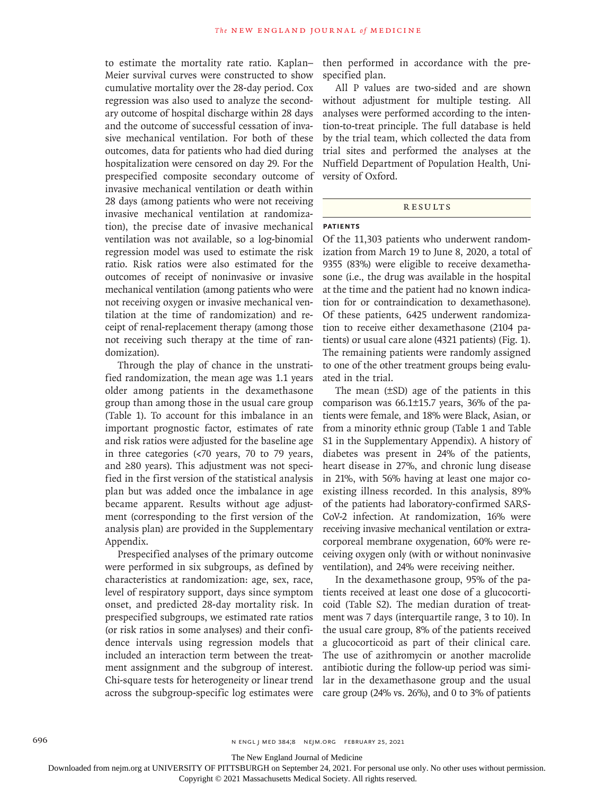to estimate the mortality rate ratio. Kaplan– Meier survival curves were constructed to show cumulative mortality over the 28-day period. Cox regression was also used to analyze the secondary outcome of hospital discharge within 28 days and the outcome of successful cessation of invasive mechanical ventilation. For both of these outcomes, data for patients who had died during hospitalization were censored on day 29. For the prespecified composite secondary outcome of invasive mechanical ventilation or death within 28 days (among patients who were not receiving invasive mechanical ventilation at randomization), the precise date of invasive mechanical ventilation was not available, so a log-binomial regression model was used to estimate the risk ratio. Risk ratios were also estimated for the outcomes of receipt of noninvasive or invasive mechanical ventilation (among patients who were not receiving oxygen or invasive mechanical ventilation at the time of randomization) and receipt of renal-replacement therapy (among those not receiving such therapy at the time of randomization).

Through the play of chance in the unstratified randomization, the mean age was 1.1 years older among patients in the dexamethasone group than among those in the usual care group (Table 1). To account for this imbalance in an important prognostic factor, estimates of rate and risk ratios were adjusted for the baseline age in three categories (<70 years, 70 to 79 years, and ≥80 years). This adjustment was not specified in the first version of the statistical analysis plan but was added once the imbalance in age became apparent. Results without age adjustment (corresponding to the first version of the analysis plan) are provided in the Supplementary Appendix.

Prespecified analyses of the primary outcome were performed in six subgroups, as defined by characteristics at randomization: age, sex, race, level of respiratory support, days since symptom onset, and predicted 28-day mortality risk. In prespecified subgroups, we estimated rate ratios (or risk ratios in some analyses) and their confidence intervals using regression models that included an interaction term between the treatment assignment and the subgroup of interest. Chi-square tests for heterogeneity or linear trend across the subgroup-specific log estimates were then performed in accordance with the prespecified plan.

All P values are two-sided and are shown without adjustment for multiple testing. All analyses were performed according to the intention-to-treat principle. The full database is held by the trial team, which collected the data from trial sites and performed the analyses at the Nuffield Department of Population Health, University of Oxford.

#### **RESULTS**

#### **Patients**

Of the 11,303 patients who underwent randomization from March 19 to June 8, 2020, a total of 9355 (83%) were eligible to receive dexamethasone (i.e., the drug was available in the hospital at the time and the patient had no known indication for or contraindication to dexamethasone). Of these patients, 6425 underwent randomization to receive either dexamethasone (2104 patients) or usual care alone (4321 patients) (Fig. 1). The remaining patients were randomly assigned to one of the other treatment groups being evaluated in the trial.

The mean (±SD) age of the patients in this comparison was 66.1±15.7 years, 36% of the patients were female, and 18% were Black, Asian, or from a minority ethnic group (Table 1 and Table S1 in the Supplementary Appendix). A history of diabetes was present in 24% of the patients, heart disease in 27%, and chronic lung disease in 21%, with 56% having at least one major coexisting illness recorded. In this analysis, 89% of the patients had laboratory-confirmed SARS-CoV-2 infection. At randomization, 16% were receiving invasive mechanical ventilation or extracorporeal membrane oxygenation, 60% were receiving oxygen only (with or without noninvasive ventilation), and 24% were receiving neither.

In the dexamethasone group, 95% of the patients received at least one dose of a glucocorticoid (Table S2). The median duration of treatment was 7 days (interquartile range, 3 to 10). In the usual care group, 8% of the patients received a glucocorticoid as part of their clinical care. The use of azithromycin or another macrolide antibiotic during the follow-up period was similar in the dexamethasone group and the usual care group (24% vs. 26%), and 0 to 3% of patients

The New England Journal of Medicine

Downloaded from nejm.org at UNIVERSITY OF PITTSBURGH on September 24, 2021. For personal use only. No other uses without permission.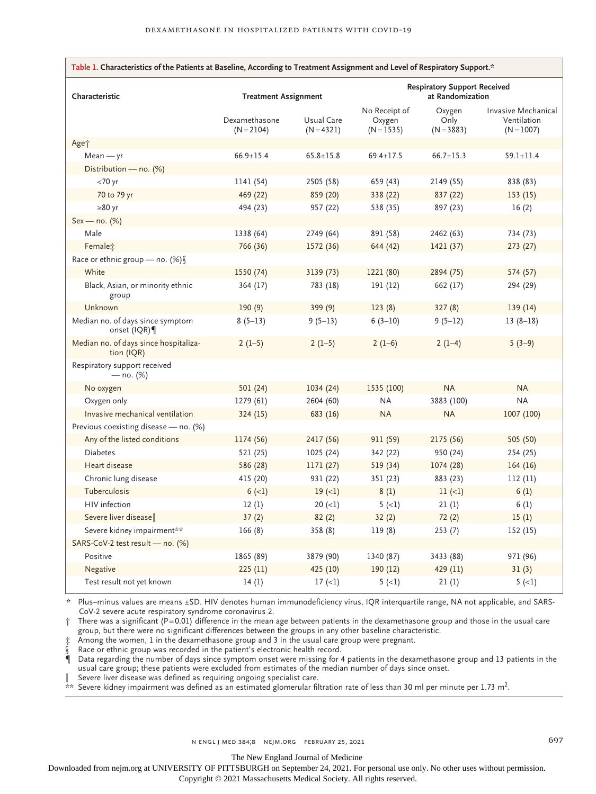| Table 1. Characteristics of the Patients at Baseline, According to Treatment Assignment and Level of Respiratory Support.* |                               |                            |                                                         |                                |                                                    |  |  |
|----------------------------------------------------------------------------------------------------------------------------|-------------------------------|----------------------------|---------------------------------------------------------|--------------------------------|----------------------------------------------------|--|--|
| Characteristic                                                                                                             | <b>Treatment Assignment</b>   |                            | <b>Respiratory Support Received</b><br>at Randomization |                                |                                                    |  |  |
|                                                                                                                            | Dexamethasone<br>$(N = 2104)$ | Usual Care<br>$(N = 4321)$ | No Receipt of<br>Oxygen<br>$(N = 1535)$                 | Oxygen<br>Only<br>$(N = 3883)$ | Invasive Mechanical<br>Ventilation<br>$(N = 1007)$ |  |  |
| Age†                                                                                                                       |                               |                            |                                                         |                                |                                                    |  |  |
| $Mean - yr$                                                                                                                | $66.9 \pm 15.4$               | $65.8 \pm 15.8$            | $69.4 \pm 17.5$                                         | $66.7 \pm 15.3$                | $59.1 \pm 11.4$                                    |  |  |
| Distribution - no. (%)                                                                                                     |                               |                            |                                                         |                                |                                                    |  |  |
| $<$ 70 yr                                                                                                                  | 1141 (54)                     | 2505 (58)                  | 659 (43)                                                | 2149 (55)                      | 838 (83)                                           |  |  |
| 70 to 79 yr                                                                                                                | 469 (22)                      | 859 (20)                   | 338 (22)                                                | 837 (22)                       | 153(15)                                            |  |  |
| $\geq 80$ yr                                                                                                               | 494 (23)                      | 957 (22)                   | 538 (35)                                                | 897 (23)                       | 16(2)                                              |  |  |
| $Sex - no. (%)$                                                                                                            |                               |                            |                                                         |                                |                                                    |  |  |
| Male                                                                                                                       | 1338 (64)                     | 2749 (64)                  | 891 (58)                                                | 2462 (63)                      | 734 (73)                                           |  |  |
| Female <sub>i</sub>                                                                                                        | 766 (36)                      | 1572 (36)                  | 644 (42)                                                | 1421 (37)                      | 273 (27)                                           |  |  |
| Race or ethnic group - no. (%)                                                                                             |                               |                            |                                                         |                                |                                                    |  |  |
| White                                                                                                                      | 1550 (74)                     | 3139 (73)                  | 1221 (80)                                               | 2894 (75)                      | 574 (57)                                           |  |  |
| Black, Asian, or minority ethnic<br>group                                                                                  | 364 (17)                      | 783 (18)                   | 191 (12)                                                | 662 (17)                       | 294 (29)                                           |  |  |
| Unknown                                                                                                                    | 190(9)                        | 399(9)                     | 123(8)                                                  | 327(8)                         | 139(14)                                            |  |  |
| Median no. of days since symptom<br>onset (IQR)                                                                            | $8(5-13)$                     | $9(5-13)$                  | $6(3-10)$                                               | $9(5-12)$                      | $13(8-18)$                                         |  |  |
| Median no. of days since hospitaliza-<br>tion (IQR)                                                                        | $2(1-5)$                      | $2(1-5)$                   | $2(1-6)$                                                | $2(1-4)$                       | $5(3-9)$                                           |  |  |
| Respiratory support received<br>— no. $(%)$                                                                                |                               |                            |                                                         |                                |                                                    |  |  |
| No oxygen                                                                                                                  | 501 (24)                      | 1034 (24)                  | 1535 (100)                                              | <b>NA</b>                      | <b>NA</b>                                          |  |  |
| Oxygen only                                                                                                                | 1279 (61)                     | 2604 (60)                  | <b>NA</b>                                               | 3883 (100)                     | <b>NA</b>                                          |  |  |
| Invasive mechanical ventilation                                                                                            | 324(15)                       | 683 (16)                   | <b>NA</b>                                               | <b>NA</b>                      | 1007 (100)                                         |  |  |
| Previous coexisting disease - no. (%)                                                                                      |                               |                            |                                                         |                                |                                                    |  |  |
| Any of the listed conditions                                                                                               | 1174 (56)                     | 2417 (56)                  | 911 (59)                                                | 2175 (56)                      | 505 (50)                                           |  |  |
| <b>Diabetes</b>                                                                                                            | 521 (25)                      | 1025 (24)                  | 342 (22)                                                | 950 (24)                       | 254 (25)                                           |  |  |
| Heart disease                                                                                                              | 586 (28)                      | 1171 (27)                  | 519 (34)                                                | 1074 (28)                      | 164(16)                                            |  |  |
| Chronic lung disease                                                                                                       | 415 (20)                      | 931 (22)                   | 351 (23)                                                | 883 (23)                       | 112(11)                                            |  |  |
| Tuberculosis                                                                                                               | $6 (-1)$                      | $19 (=1)$                  | 8(1)                                                    | $11 (=1)$                      | 6(1)                                               |  |  |
| HIV infection                                                                                                              | 12(1)                         | $20 (=1)$                  | $5 (-1)$                                                | 21(1)                          | 6(1)                                               |  |  |
| Severe liver disease                                                                                                       | 37(2)                         | 82(2)                      | 32(2)                                                   | 72(2)                          | 15(1)                                              |  |  |
| Severe kidney impairment**                                                                                                 | 166(8)                        | 358 (8)                    | 119(8)                                                  | 253(7)                         | 152 (15)                                           |  |  |
| SARS-CoV-2 test result - no. (%)                                                                                           |                               |                            |                                                         |                                |                                                    |  |  |
| Positive                                                                                                                   | 1865 (89)                     | 3879 (90)                  | 1340 (87)                                               | 3433 (88)                      | 971 (96)                                           |  |  |
| Negative                                                                                                                   | 225(11)                       | 425 (10)                   | 190(12)                                                 | 429 (11)                       | 31(3)                                              |  |  |
| Test result not yet known                                                                                                  | 14(1)                         | 17(1)                      | $5(-1)$                                                 | 21(1)                          | $5(-1)$                                            |  |  |

\* Plus–minus values are means ±SD. HIV denotes human immunodeficiency virus, IQR interquartile range, NA not applicable, and SARS-CoV-2 severe acute respiratory syndrome coronavirus 2.

 $\dagger$  There was a significant (P=0.01) difference in the mean age between patients in the dexamethasone group and those in the usual care group, but there were no significant differences between the groups in any other baseline characteristic.

‡ Among the women, 1 in the dexamethasone group and 3 in the usual care group were pregnant.

Race or ethnic group was recorded in the patient's electronic health record.

¶ Data regarding the number of days since symptom onset were missing for 4 patients in the dexamethasone group and 13 patients in the usual care group; these patients were excluded from estimates of the median number of days since onset.

Severe liver disease was defined as requiring ongoing specialist care.

 $*$  Severe kidney impairment was defined as an estimated glomerular filtration rate of less than 30 ml per minute per 1.73 m<sup>2</sup>.

The New England Journal of Medicine

Downloaded from nejm.org at UNIVERSITY OF PITTSBURGH on September 24, 2021. For personal use only. No other uses without permission.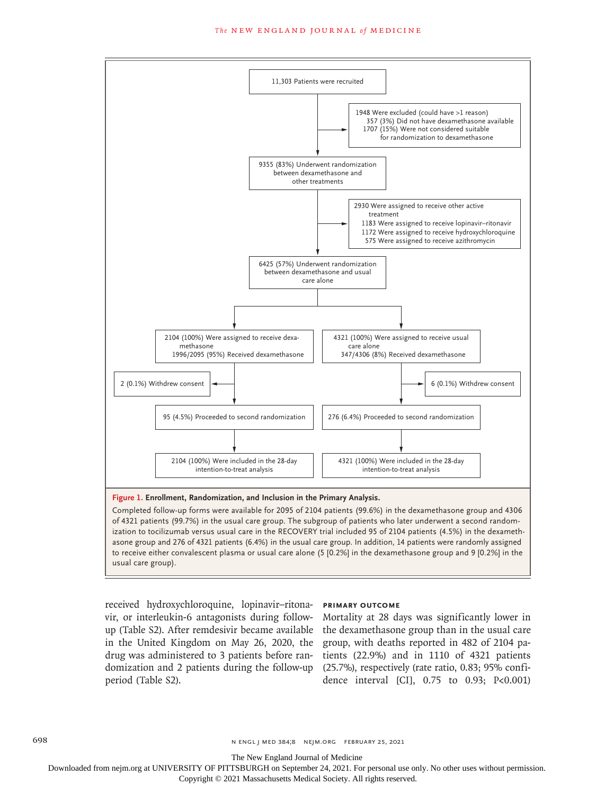#### **The NEW ENGLAND JOURNAL of MEDICINE**



ization to tocilizumab versus usual care in the RECOVERY trial included 95 of 2104 patients (4.5%) in the dexamethasone group and 276 of 4321 patients (6.4%) in the usual care group. In addition, 14 patients were randomly assigned to receive either convalescent plasma or usual care alone (5 [0.2%] in the dexamethasone group and 9 [0.2%] in the usual care group).

received hydroxychloroquine, lopinavir–ritonavir, or interleukin-6 antagonists during followup (Table S2). After remdesivir became available in the United Kingdom on May 26, 2020, the group, with deaths reported in 482 of 2104 padrug was administered to 3 patients before ran-tients (22.9%) and in 1110 of 4321 patients domization and 2 patients during the follow-up (25.7%), respectively (rate ratio, 0.83; 95% confiperiod (Table S2).

#### **Primary Outcome**

Mortality at 28 days was significantly lower in the dexamethasone group than in the usual care dence interval [CI], 0.75 to 0.93; P<0.001)

698 n engl j med 384;8 nejm.org February 25, 2021

The New England Journal of Medicine

Downloaded from nejm.org at UNIVERSITY OF PITTSBURGH on September 24, 2021. For personal use only. No other uses without permission.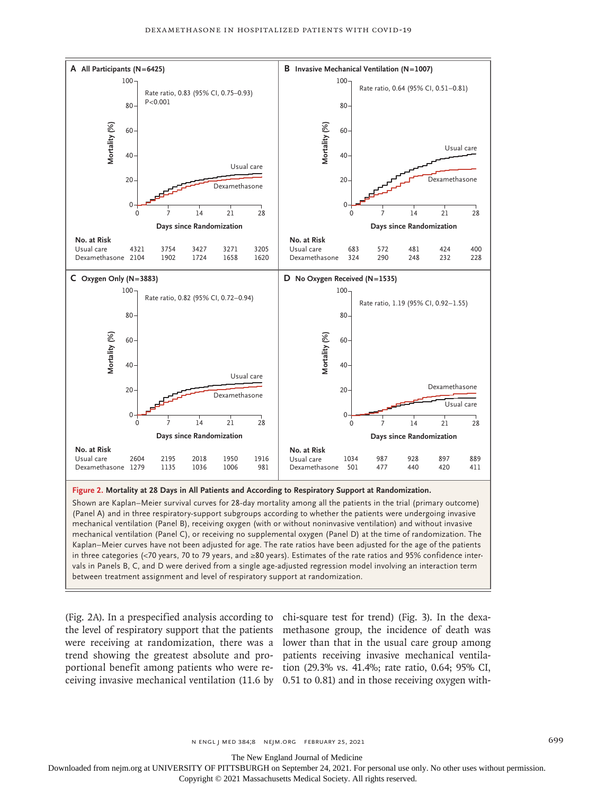

Shown are Kaplan–Meier survival curves for 28-day mortality among all the patients in the trial (primary outcome) (Panel A) and in three respiratory-support subgroups according to whether the patients were undergoing invasive mechanical ventilation (Panel B), receiving oxygen (with or without noninvasive ventilation) and without invasive mechanical ventilation (Panel C), or receiving no supplemental oxygen (Panel D) at the time of randomization. The Kaplan–Meier curves have not been adjusted for age. The rate ratios have been adjusted for the age of the patients in three categories (<70 years, 70 to 79 years, and ≥80 years). Estimates of the rate ratios and 95% confidence intervals in Panels B, C, and D were derived from a single age-adjusted regression model involving an interaction term

(Fig. 2A). In a prespecified analysis according to chi-square test for trend) (Fig. 3). In the dexathe level of respiratory support that the patients methasone group, the incidence of death was were receiving at randomization, there was a lower than that in the usual care group among trend showing the greatest absolute and pro-patients receiving invasive mechanical ventilaportional benefit among patients who were re-tion (29.3% vs. 41.4%; rate ratio, 0.64; 95% CI, ceiving invasive mechanical ventilation (11.6 by 0.51 to 0.81) and in those receiving oxygen with-

The New England Journal of Medicine

Downloaded from nejm.org at UNIVERSITY OF PITTSBURGH on September 24, 2021. For personal use only. No other uses without permission.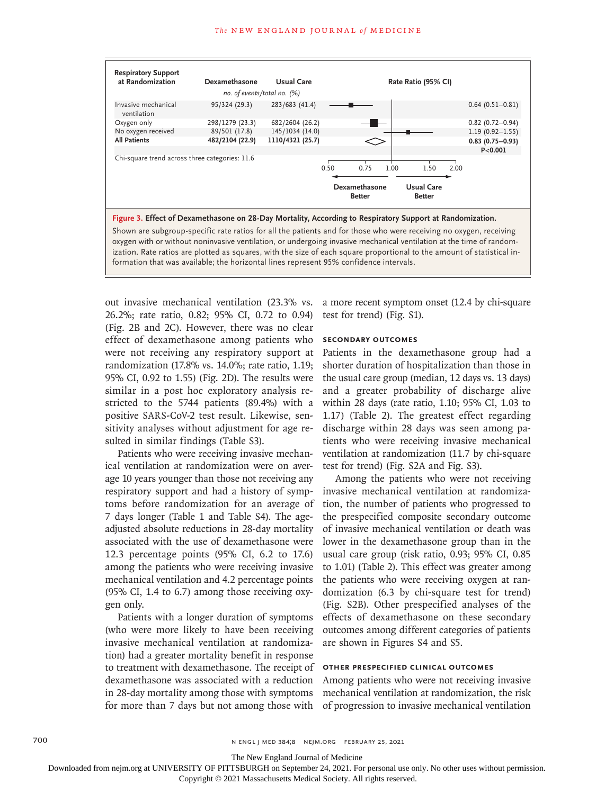

oxygen with or without noninvasive ventilation, or undergoing invasive mechanical ventilation at the time of randomization. Rate ratios are plotted as squares, with the size of each square proportional to the amount of statistical information that was available; the horizontal lines represent 95% confidence intervals.

out invasive mechanical ventilation (23.3% vs. 26.2%; rate ratio, 0.82; 95% CI, 0.72 to 0.94) (Fig. 2B and 2C). However, there was no clear effect of dexamethasone among patients who were not receiving any respiratory support at randomization (17.8% vs. 14.0%; rate ratio, 1.19; 95% CI, 0.92 to 1.55) (Fig. 2D). The results were similar in a post hoc exploratory analysis restricted to the 5744 patients (89.4%) with a positive SARS-CoV-2 test result. Likewise, sensitivity analyses without adjustment for age resulted in similar findings (Table S3).

Patients who were receiving invasive mechanical ventilation at randomization were on average 10 years younger than those not receiving any respiratory support and had a history of symptoms before randomization for an average of 7 days longer (Table 1 and Table S4). The ageadjusted absolute reductions in 28-day mortality associated with the use of dexamethasone were 12.3 percentage points (95% CI, 6.2 to 17.6) among the patients who were receiving invasive mechanical ventilation and 4.2 percentage points (95% CI, 1.4 to 6.7) among those receiving oxygen only.

Patients with a longer duration of symptoms (who were more likely to have been receiving invasive mechanical ventilation at randomization) had a greater mortality benefit in response to treatment with dexamethasone. The receipt of dexamethasone was associated with a reduction in 28-day mortality among those with symptoms for more than 7 days but not among those with

a more recent symptom onset (12.4 by chi-square test for trend) (Fig. S1).

#### **Secondary Outcomes**

Patients in the dexamethasone group had a shorter duration of hospitalization than those in the usual care group (median, 12 days vs. 13 days) and a greater probability of discharge alive within 28 days (rate ratio, 1.10; 95% CI, 1.03 to 1.17) (Table 2). The greatest effect regarding discharge within 28 days was seen among patients who were receiving invasive mechanical ventilation at randomization (11.7 by chi-square test for trend) (Fig. S2A and Fig. S3).

Among the patients who were not receiving invasive mechanical ventilation at randomization, the number of patients who progressed to the prespecified composite secondary outcome of invasive mechanical ventilation or death was lower in the dexamethasone group than in the usual care group (risk ratio, 0.93; 95% CI, 0.85 to 1.01) (Table 2). This effect was greater among the patients who were receiving oxygen at randomization (6.3 by chi-square test for trend) (Fig. S2B). Other prespecified analyses of the effects of dexamethasone on these secondary outcomes among different categories of patients are shown in Figures S4 and S5.

# **Other Prespecified Clinical Outcomes**

Among patients who were not receiving invasive mechanical ventilation at randomization, the risk of progression to invasive mechanical ventilation

The New England Journal of Medicine

Downloaded from nejm.org at UNIVERSITY OF PITTSBURGH on September 24, 2021. For personal use only. No other uses without permission.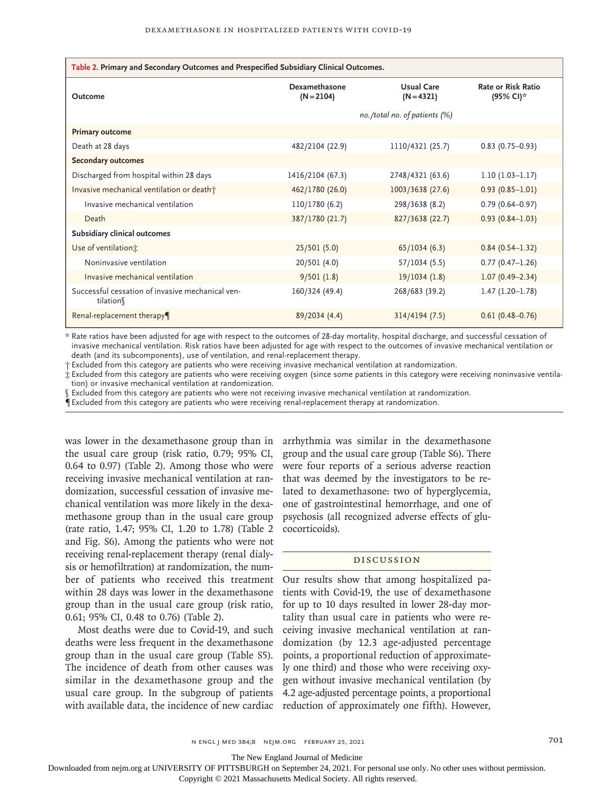| Table 2. Primary and Secondary Outcomes and Prespecified Subsidiary Clinical Outcomes. |                                  |                            |                                        |  |  |  |  |
|----------------------------------------------------------------------------------------|----------------------------------|----------------------------|----------------------------------------|--|--|--|--|
| Outcome                                                                                | Dexamethasone<br>$(N = 2104)$    | Usual Care<br>$(N = 4321)$ | <b>Rate or Risk Ratio</b><br>(95% CI)* |  |  |  |  |
|                                                                                        | no./total no. of patients $(\%)$ |                            |                                        |  |  |  |  |
| <b>Primary outcome</b>                                                                 |                                  |                            |                                        |  |  |  |  |
| Death at 28 days                                                                       | 482/2104 (22.9)                  | 1110/4321 (25.7)           | $0.83(0.75-0.93)$                      |  |  |  |  |
| <b>Secondary outcomes</b>                                                              |                                  |                            |                                        |  |  |  |  |
| Discharged from hospital within 28 days                                                | 1416/2104 (67.3)                 | 2748/4321 (63.6)           | $1.10(1.03-1.17)$                      |  |  |  |  |
| Invasive mechanical ventilation or death+                                              | 462/1780 (26.0)                  | 1003/3638 (27.6)           | $0.93(0.85 - 1.01)$                    |  |  |  |  |
| Invasive mechanical ventilation                                                        | 110/1780 (6.2)                   | 298/3638 (8.2)             | $0.79(0.64 - 0.97)$                    |  |  |  |  |
| Death                                                                                  | 387/1780 (21.7)                  | 827/3638 (22.7)            | $0.93(0.84 - 1.03)$                    |  |  |  |  |
| Subsidiary clinical outcomes                                                           |                                  |                            |                                        |  |  |  |  |
| Use of ventilation;                                                                    | 25/501(5.0)                      | 65/1034(6.3)               | $0.84(0.54 - 1.32)$                    |  |  |  |  |
| Noninvasive ventilation                                                                | 20/501 (4.0)                     | 57/1034 (5.5)              | $0.77(0.47-1.26)$                      |  |  |  |  |
| Invasive mechanical ventilation                                                        | 9/501(1.8)                       | 19/1034(1.8)               | $1.07(0.49 - 2.34)$                    |  |  |  |  |
| Successful cessation of invasive mechanical ven-<br>tilation                           | 160/324 (49.4)                   | 268/683 (39.2)             | $1.47(1.20-1.78)$                      |  |  |  |  |
| Renal-replacement therapy                                                              | 89/2034 (4.4)                    | 314/4194(7.5)              | $0.61(0.48 - 0.76)$                    |  |  |  |  |

\* Rate ratios have been adjusted for age with respect to the outcomes of 28-day mortality, hospital discharge, and successful cessation of invasive mechanical ventilation. Risk ratios have been adjusted for age with respect to the outcomes of invasive mechanical ventilation or death (and its subcomponents), use of ventilation, and renal-replacement therapy.

† Excluded from this category are patients who were receiving invasive mechanical ventilation at randomization.

‡ Excluded from this category are patients who were receiving oxygen (since some patients in this category were receiving noninvasive ventilation) or invasive mechanical ventilation at randomization.

Excluded from this category are patients who were not receiving invasive mechanical ventilation at randomization.

¶ Excluded from this category are patients who were receiving renal-replacement therapy at randomization.

was lower in the dexamethasone group than in the usual care group (risk ratio, 0.79; 95% CI, 0.64 to 0.97) (Table 2). Among those who were receiving invasive mechanical ventilation at randomization, successful cessation of invasive mechanical ventilation was more likely in the dexamethasone group than in the usual care group (rate ratio, 1.47; 95% CI, 1.20 to 1.78) (Table 2 and Fig. S6). Among the patients who were not receiving renal-replacement therapy (renal dialysis or hemofiltration) at randomization, the number of patients who received this treatment within 28 days was lower in the dexamethasone group than in the usual care group (risk ratio, 0.61; 95% CI, 0.48 to 0.76) (Table 2).

Most deaths were due to Covid-19, and such deaths were less frequent in the dexamethasone group than in the usual care group (Table S5). The incidence of death from other causes was similar in the dexamethasone group and the usual care group. In the subgroup of patients with available data, the incidence of new cardiac

arrhythmia was similar in the dexamethasone group and the usual care group (Table S6). There were four reports of a serious adverse reaction that was deemed by the investigators to be related to dexamethasone: two of hyperglycemia, one of gastrointestinal hemorrhage, and one of psychosis (all recognized adverse effects of glucocorticoids).

#### Discussion

Our results show that among hospitalized patients with Covid-19, the use of dexamethasone for up to 10 days resulted in lower 28-day mortality than usual care in patients who were receiving invasive mechanical ventilation at randomization (by 12.3 age-adjusted percentage points, a proportional reduction of approximately one third) and those who were receiving oxygen without invasive mechanical ventilation (by 4.2 age-adjusted percentage points, a proportional reduction of approximately one fifth). However,

The New England Journal of Medicine

Downloaded from nejm.org at UNIVERSITY OF PITTSBURGH on September 24, 2021. For personal use only. No other uses without permission.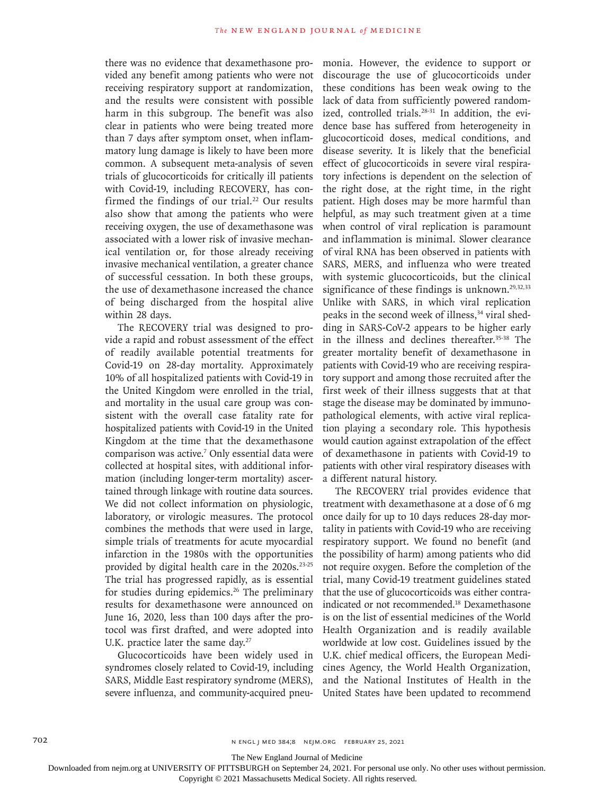there was no evidence that dexamethasone provided any benefit among patients who were not receiving respiratory support at randomization, and the results were consistent with possible harm in this subgroup. The benefit was also clear in patients who were being treated more than 7 days after symptom onset, when inflammatory lung damage is likely to have been more common. A subsequent meta-analysis of seven trials of glucocorticoids for critically ill patients with Covid-19, including RECOVERY, has confirmed the findings of our trial.<sup>22</sup> Our results also show that among the patients who were receiving oxygen, the use of dexamethasone was associated with a lower risk of invasive mechanical ventilation or, for those already receiving invasive mechanical ventilation, a greater chance of successful cessation. In both these groups, the use of dexamethasone increased the chance of being discharged from the hospital alive within 28 days.

The RECOVERY trial was designed to provide a rapid and robust assessment of the effect of readily available potential treatments for Covid-19 on 28-day mortality. Approximately 10% of all hospitalized patients with Covid-19 in the United Kingdom were enrolled in the trial, and mortality in the usual care group was consistent with the overall case fatality rate for hospitalized patients with Covid-19 in the United Kingdom at the time that the dexamethasone comparison was active.7 Only essential data were collected at hospital sites, with additional information (including longer-term mortality) ascertained through linkage with routine data sources. We did not collect information on physiologic, laboratory, or virologic measures. The protocol combines the methods that were used in large, simple trials of treatments for acute myocardial infarction in the 1980s with the opportunities provided by digital health care in the 2020s.<sup>23-25</sup> The trial has progressed rapidly, as is essential for studies during epidemics.<sup>26</sup> The preliminary results for dexamethasone were announced on June 16, 2020, less than 100 days after the protocol was first drafted, and were adopted into U.K. practice later the same day.<sup>27</sup>

Glucocorticoids have been widely used in syndromes closely related to Covid-19, including SARS, Middle East respiratory syndrome (MERS), severe influenza, and community-acquired pneumonia. However, the evidence to support or discourage the use of glucocorticoids under these conditions has been weak owing to the lack of data from sufficiently powered randomized, controlled trials.<sup>28-31</sup> In addition, the evidence base has suffered from heterogeneity in glucocorticoid doses, medical conditions, and disease severity. It is likely that the beneficial effect of glucocorticoids in severe viral respiratory infections is dependent on the selection of the right dose, at the right time, in the right patient. High doses may be more harmful than helpful, as may such treatment given at a time when control of viral replication is paramount and inflammation is minimal. Slower clearance of viral RNA has been observed in patients with SARS, MERS, and influenza who were treated with systemic glucocorticoids, but the clinical significance of these findings is unknown.<sup>29,32,33</sup> Unlike with SARS, in which viral replication peaks in the second week of illness,<sup>34</sup> viral shedding in SARS-CoV-2 appears to be higher early in the illness and declines thereafter.<sup>35-38</sup> The greater mortality benefit of dexamethasone in patients with Covid-19 who are receiving respiratory support and among those recruited after the first week of their illness suggests that at that stage the disease may be dominated by immunopathological elements, with active viral replication playing a secondary role. This hypothesis would caution against extrapolation of the effect of dexamethasone in patients with Covid-19 to patients with other viral respiratory diseases with a different natural history.

The RECOVERY trial provides evidence that treatment with dexamethasone at a dose of 6 mg once daily for up to 10 days reduces 28-day mortality in patients with Covid-19 who are receiving respiratory support. We found no benefit (and the possibility of harm) among patients who did not require oxygen. Before the completion of the trial, many Covid-19 treatment guidelines stated that the use of glucocorticoids was either contraindicated or not recommended.<sup>18</sup> Dexamethasone is on the list of essential medicines of the World Health Organization and is readily available worldwide at low cost. Guidelines issued by the U.K. chief medical officers, the European Medicines Agency, the World Health Organization, and the National Institutes of Health in the United States have been updated to recommend

The New England Journal of Medicine

Downloaded from nejm.org at UNIVERSITY OF PITTSBURGH on September 24, 2021. For personal use only. No other uses without permission.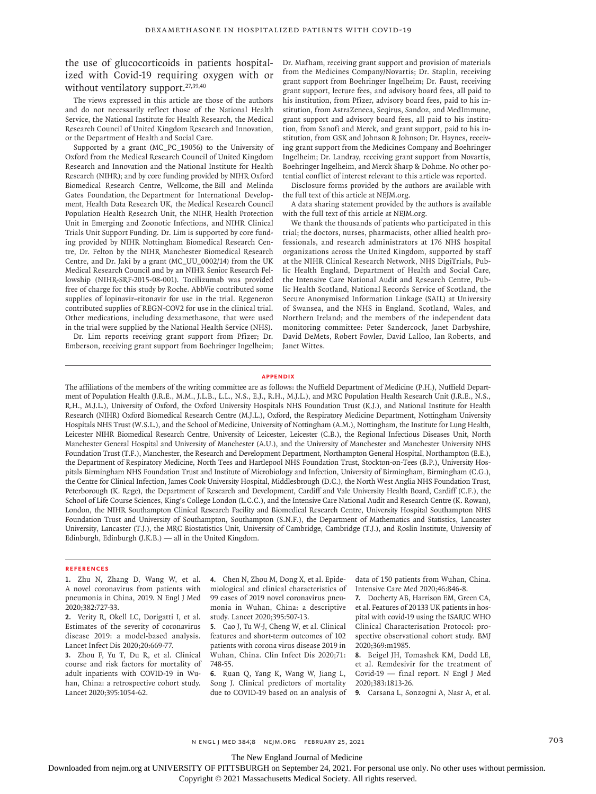the use of glucocorticoids in patients hospitalized with Covid-19 requiring oxygen with or without ventilatory support.<sup>27,39,40</sup>

The views expressed in this article are those of the authors and do not necessarily reflect those of the National Health Service, the National Institute for Health Research, the Medical Research Council of United Kingdom Research and Innovation, or the Department of Health and Social Care.

Supported by a grant (MC\_PC\_19056) to the University of Oxford from the Medical Research Council of United Kingdom Research and Innovation and the National Institute for Health Research (NIHR); and by core funding provided by NIHR Oxford Biomedical Research Centre, Wellcome, the Bill and Melinda Gates Foundation, the Department for International Development, Health Data Research UK, the Medical Research Council Population Health Research Unit, the NIHR Health Protection Unit in Emerging and Zoonotic Infections, and NIHR Clinical Trials Unit Support Funding. Dr. Lim is supported by core funding provided by NIHR Nottingham Biomedical Research Centre, Dr. Felton by the NIHR Manchester Biomedical Research Centre, and Dr. Jaki by a grant (MC\_UU\_0002/14) from the UK Medical Research Council and by an NIHR Senior Research Fellowship (NIHR-SRF-2015-08-001). Tocilizumab was provided free of charge for this study by Roche. AbbVie contributed some supplies of lopinavir–ritonavir for use in the trial. Regeneron contributed supplies of REGN-COV2 for use in the clinical trial. Other medications, including dexamethasone, that were used in the trial were supplied by the National Health Service (NHS).

Dr. Lim reports receiving grant support from Pfizer; Dr. Emberson, receiving grant support from Boehringer Ingelheim; Dr. Mafham, receiving grant support and provision of materials from the Medicines Company/Novartis; Dr. Staplin, receiving grant support from Boehringer Ingelheim; Dr. Faust, receiving grant support, lecture fees, and advisory board fees, all paid to his institution, from Pfizer, advisory board fees, paid to his institution, from AstraZeneca, Seqirus, Sandoz, and MedImmune, grant support and advisory board fees, all paid to his institution, from Sanofi and Merck, and grant support, paid to his institution, from GSK and Johnson & Johnson; Dr. Haynes, receiving grant support from the Medicines Company and Boehringer Ingelheim; Dr. Landray, receiving grant support from Novartis, Boehringer Ingelheim, and Merck Sharp & Dohme. No other potential conflict of interest relevant to this article was reported.

Disclosure forms provided by the authors are available with the full text of this article at NEJM.org.

A data sharing statement provided by the authors is available with the full text of this article at NEJM.org.

We thank the thousands of patients who participated in this trial; the doctors, nurses, pharmacists, other allied health professionals, and research administrators at 176 NHS hospital organizations across the United Kingdom, supported by staff at the NIHR Clinical Research Network, NHS DigiTrials, Public Health England, Department of Health and Social Care, the Intensive Care National Audit and Research Centre, Public Health Scotland, National Records Service of Scotland, the Secure Anonymised Information Linkage (SAIL) at University of Swansea, and the NHS in England, Scotland, Wales, and Northern Ireland; and the members of the independent data monitoring committee: Peter Sandercock, Janet Darbyshire, David DeMets, Robert Fowler, David Lalloo, Ian Roberts, and Janet Wittes.

#### **Appendix**

The affiliations of the members of the writing committee are as follows: the Nuffield Department of Medicine (P.H.), Nuffield Department of Population Health (J.R.E., M.M., J.L.B., L.L., N.S., E.J., R.H., M.J.L.), and MRC Population Health Research Unit (J.R.E., N.S., R.H., M.J.L.), University of Oxford, the Oxford University Hospitals NHS Foundation Trust (K.J.), and National Institute for Health Research (NIHR) Oxford Biomedical Research Centre (M.J.L.), Oxford, the Respiratory Medicine Department, Nottingham University Hospitals NHS Trust (W.S.L.), and the School of Medicine, University of Nottingham (A.M.), Nottingham, the Institute for Lung Health, Leicester NIHR Biomedical Research Centre, University of Leicester, Leicester (C.B.), the Regional Infectious Diseases Unit, North Manchester General Hospital and University of Manchester (A.U.), and the University of Manchester and Manchester University NHS Foundation Trust (T.F.), Manchester, the Research and Development Department, Northampton General Hospital, Northampton (E.E.), the Department of Respiratory Medicine, North Tees and Hartlepool NHS Foundation Trust, Stockton-on-Tees (B.P.), University Hospitals Birmingham NHS Foundation Trust and Institute of Microbiology and Infection, University of Birmingham, Birmingham (C.G.), the Centre for Clinical Infection, James Cook University Hospital, Middlesbrough (D.C.), the North West Anglia NHS Foundation Trust, Peterborough (K. Rege), the Department of Research and Development, Cardiff and Vale University Health Board, Cardiff (C.F.), the School of Life Course Sciences, King's College London (L.C.C.), and the Intensive Care National Audit and Research Centre (K. Rowan), London, the NIHR Southampton Clinical Research Facility and Biomedical Research Centre, University Hospital Southampton NHS Foundation Trust and University of Southampton, Southampton (S.N.F.), the Department of Mathematics and Statistics, Lancaster University, Lancaster (T.J.), the MRC Biostatistics Unit, University of Cambridge, Cambridge (T.J.), and Roslin Institute, University of Edinburgh, Edinburgh (J.K.B.) — all in the United Kingdom.

#### **References**

- **1.** Zhu N, Zhang D, Wang W, et al. A novel coronavirus from patients with pneumonia in China, 2019. N Engl J Med 2020;382:727-33.
- **2.** Verity R, Okell LC, Dorigatti I, et al. Estimates of the severity of coronavirus disease 2019: a model-based analysis. Lancet Infect Dis 2020;20:669-77.

**3.** Zhou F, Yu T, Du R, et al. Clinical course and risk factors for mortality of adult inpatients with COVID-19 in Wuhan, China: a retrospective cohort study. Lancet 2020;395:1054-62.

**4.** Chen N, Zhou M, Dong X, et al. Epidemiological and clinical characteristics of 99 cases of 2019 novel coronavirus pneumonia in Wuhan, China: a descriptive study. Lancet 2020;395:507-13.

**5.** Cao J, Tu W-J, Cheng W, et al. Clinical features and short-term outcomes of 102 patients with corona virus disease 2019 in Wuhan, China. Clin Infect Dis 2020;71: 748-55.

**6.** Ruan Q, Yang K, Wang W, Jiang L, Song J. Clinical predictors of mortality due to COVID-19 based on an analysis of

data of 150 patients from Wuhan, China. Intensive Care Med 2020;46:846-8.

**7.** Docherty AB, Harrison EM, Green CA, et al. Features of 20133 UK patients in hospital with covid-19 using the ISARIC WHO Clinical Characterisation Protocol: prospective observational cohort study. BMJ 2020;369:m1985.

**8.** Beigel JH, Tomashek KM, Dodd LE, et al. Remdesivir for the treatment of Covid-19 — final report. N Engl J Med 2020;383:1813-26.

**9.** Carsana L, Sonzogni A, Nasr A, et al.

n engl j med 384;8 nejm.org February 25, 2021 703

The New England Journal of Medicine

Downloaded from nejm.org at UNIVERSITY OF PITTSBURGH on September 24, 2021. For personal use only. No other uses without permission.